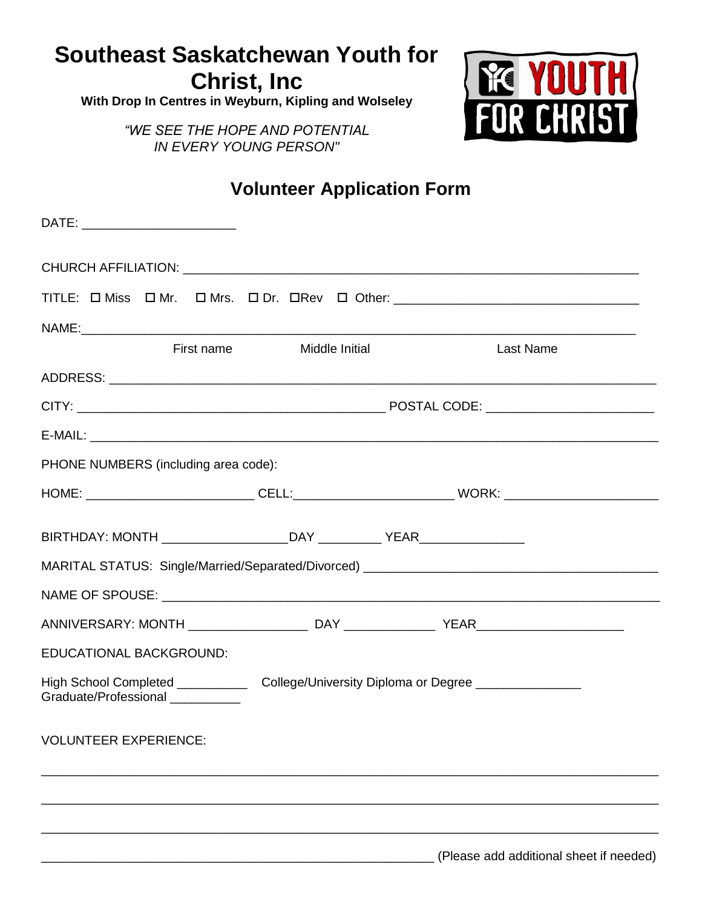# **Southeast Saskatchewan Youth for Christ, Inc**

**With Drop In Centres in Weyburn, Kipling and Wolseley**

**RE YOUTH** 

*"WE SEE THE HOPE AND POTENTIAL IN EVERY YOUNG PERSON"*

## **Volunteer Application Form**

|                                                                                                                                |                                |  | DATE: ________________________       |  |  |                |  |                                         |                  |  |
|--------------------------------------------------------------------------------------------------------------------------------|--------------------------------|--|--------------------------------------|--|--|----------------|--|-----------------------------------------|------------------|--|
|                                                                                                                                |                                |  |                                      |  |  |                |  |                                         |                  |  |
|                                                                                                                                |                                |  |                                      |  |  |                |  |                                         |                  |  |
|                                                                                                                                |                                |  |                                      |  |  |                |  |                                         |                  |  |
|                                                                                                                                |                                |  | First name                           |  |  | Middle Initial |  |                                         | <b>Last Name</b> |  |
|                                                                                                                                |                                |  |                                      |  |  |                |  |                                         |                  |  |
|                                                                                                                                |                                |  |                                      |  |  |                |  |                                         |                  |  |
|                                                                                                                                |                                |  |                                      |  |  |                |  |                                         |                  |  |
|                                                                                                                                |                                |  | PHONE NUMBERS (including area code): |  |  |                |  |                                         |                  |  |
|                                                                                                                                |                                |  |                                      |  |  |                |  |                                         |                  |  |
|                                                                                                                                |                                |  |                                      |  |  |                |  |                                         |                  |  |
|                                                                                                                                |                                |  |                                      |  |  |                |  |                                         |                  |  |
|                                                                                                                                |                                |  |                                      |  |  |                |  |                                         |                  |  |
|                                                                                                                                |                                |  |                                      |  |  |                |  |                                         |                  |  |
|                                                                                                                                | <b>EDUCATIONAL BACKGROUND:</b> |  |                                      |  |  |                |  |                                         |                  |  |
| High School Completed _______________ College/University Diploma or Degree _______________<br>Graduate/Professional __________ |                                |  |                                      |  |  |                |  |                                         |                  |  |
|                                                                                                                                | <b>VOLUNTEER EXPERIENCE:</b>   |  |                                      |  |  |                |  |                                         |                  |  |
|                                                                                                                                |                                |  |                                      |  |  |                |  |                                         |                  |  |
|                                                                                                                                |                                |  |                                      |  |  |                |  |                                         |                  |  |
|                                                                                                                                |                                |  |                                      |  |  |                |  | (Please add additional sheet if needed) |                  |  |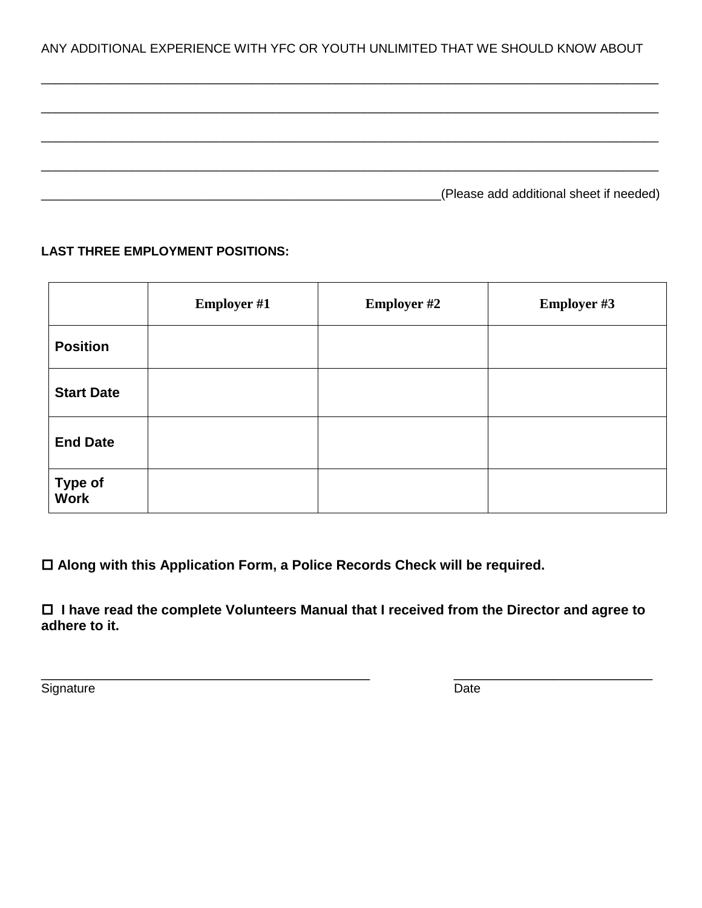ANY ADDITIONAL EXPERIENCE WITH YFC OR YOUTH UNLIMITED THAT WE SHOULD KNOW ABOUT

\_\_\_\_\_\_\_\_\_\_\_\_\_\_\_\_\_\_\_\_\_\_\_\_\_\_\_\_\_\_\_\_\_\_\_\_\_\_\_\_\_\_\_\_\_\_\_\_\_\_\_\_\_\_\_\_\_\_\_\_\_\_\_\_\_\_\_\_\_\_\_\_\_\_\_\_\_\_\_\_\_\_\_\_\_\_\_\_

\_\_\_\_\_\_\_\_\_\_\_\_\_\_\_\_\_\_\_\_\_\_\_\_\_\_\_\_\_\_\_\_\_\_\_\_\_\_\_\_\_\_\_\_\_\_\_\_\_\_\_\_\_\_\_\_\_\_\_\_\_\_\_\_\_\_\_\_\_\_\_\_\_\_\_\_\_\_\_\_\_\_\_\_\_\_\_\_

| (Please add additional sheet if needed) |
|-----------------------------------------|

#### **LAST THREE EMPLOYMENT POSITIONS:**

|                   | <b>Employer #1</b> | <b>Employer #2</b> | <b>Employer #3</b> |
|-------------------|--------------------|--------------------|--------------------|
| <b>Position</b>   |                    |                    |                    |
| <b>Start Date</b> |                    |                    |                    |
| <b>End Date</b>   |                    |                    |                    |
| Type of<br>Work   |                    |                    |                    |

**Along with this Application Form, a Police Records Check will be required.**

 **I have read the complete Volunteers Manual that I received from the Director and agree to adhere to it.**

\_\_\_\_\_\_\_\_\_\_\_\_\_\_\_\_\_\_\_\_\_\_\_\_\_\_\_\_\_\_\_\_\_\_\_\_\_\_\_\_\_\_\_ \_\_\_\_\_\_\_\_\_\_\_\_\_\_\_\_\_\_\_\_\_\_\_\_\_\_

Signature Date Date Contract and Contract and Contract and Contract and Contract and Contract and Contract and Contract and Contract and Contract and Contract and Contract and Contract and Contract and Contract and Contrac